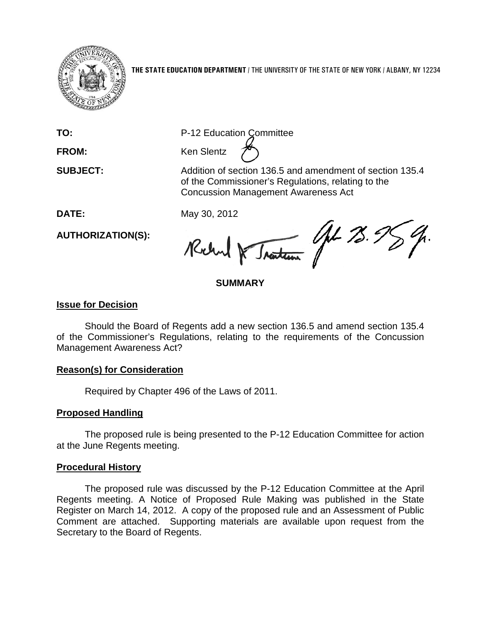

**THE STATE EDUCATION DEPARTMENT** / THE UNIVERSITY OF THE STATE OF NEW YORK / ALBANY, NY 12234

**TO:** P-12 Education Committee

FROM: Ken Slentz

**SUBJECT:** Addition of section 136.5 and amendment of section 135.4 of the Commissioner's Regulations, relating to the Concussion Management Awareness Act

**DATE:** May 30, 2012

**AUTHORIZATION(S):**

Traitean (John 75. 9 Rochn

# **SUMMARY**

# **Issue for Decision**

Should the Board of Regents add a new section 136.5 and amend section 135.4 of the Commissioner's Regulations, relating to the requirements of the Concussion Management Awareness Act?

# **Reason(s) for Consideration**

Required by Chapter 496 of the Laws of 2011.

# **Proposed Handling**

The proposed rule is being presented to the P-12 Education Committee for action at the June Regents meeting.

# **Procedural History**

The proposed rule was discussed by the P-12 Education Committee at the April Regents meeting. A Notice of Proposed Rule Making was published in the State Register on March 14, 2012. A copy of the proposed rule and an Assessment of Public Comment are attached. Supporting materials are available upon request from the Secretary to the Board of Regents.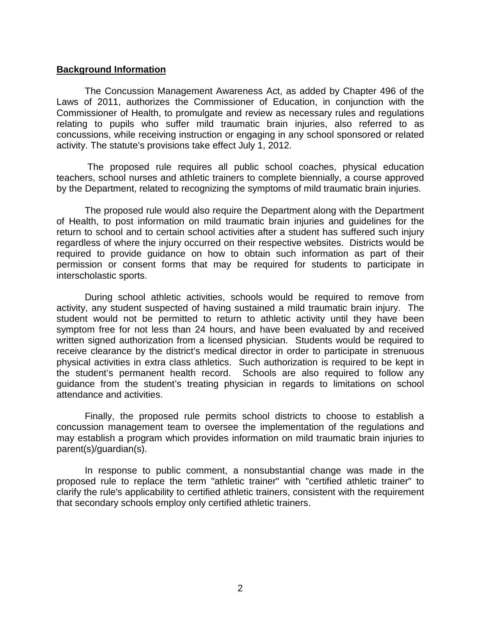## **Background Information**

The Concussion Management Awareness Act, as added by Chapter 496 of the Laws of 2011, authorizes the Commissioner of Education, in conjunction with the Commissioner of Health, to promulgate and review as necessary rules and regulations relating to pupils who suffer mild traumatic brain injuries, also referred to as concussions, while receiving instruction or engaging in any school sponsored or related activity. The statute's provisions take effect July 1, 2012.

The proposed rule requires all public school coaches, physical education teachers, school nurses and athletic trainers to complete biennially, a course approved by the Department, related to recognizing the symptoms of mild traumatic brain injuries.

The proposed rule would also require the Department along with the Department of Health, to post information on mild traumatic brain injuries and guidelines for the return to school and to certain school activities after a student has suffered such injury regardless of where the injury occurred on their respective websites. Districts would be required to provide guidance on how to obtain such information as part of their permission or consent forms that may be required for students to participate in interscholastic sports.

During school athletic activities, schools would be required to remove from activity, any student suspected of having sustained a mild traumatic brain injury. The student would not be permitted to return to athletic activity until they have been symptom free for not less than 24 hours, and have been evaluated by and received written signed authorization from a licensed physician. Students would be required to receive clearance by the district's medical director in order to participate in strenuous physical activities in extra class athletics. Such authorization is required to be kept in the student's permanent health record. Schools are also required to follow any guidance from the student's treating physician in regards to limitations on school attendance and activities.

Finally, the proposed rule permits school districts to choose to establish a concussion management team to oversee the implementation of the regulations and may establish a program which provides information on mild traumatic brain injuries to parent(s)/guardian(s).

In response to public comment, a nonsubstantial change was made in the proposed rule to replace the term "athletic trainer" with "certified athletic trainer" to clarify the rule's applicability to certified athletic trainers, consistent with the requirement that secondary schools employ only certified athletic trainers.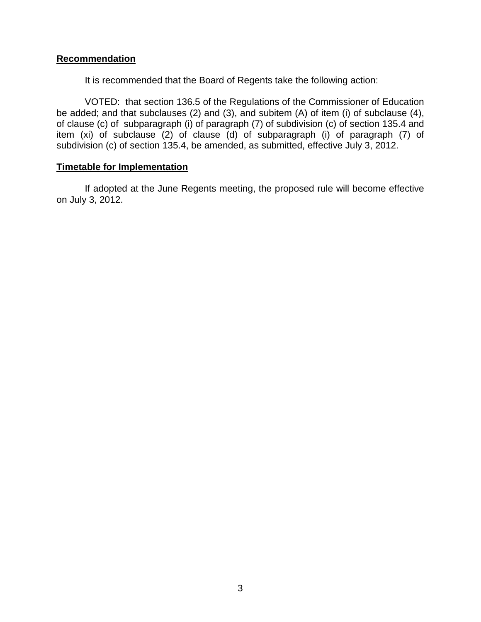# **Recommendation**

It is recommended that the Board of Regents take the following action:

VOTED: that section 136.5 of the Regulations of the Commissioner of Education be added; and that subclauses (2) and (3), and subitem (A) of item (i) of subclause (4), of clause (c) of subparagraph (i) of paragraph (7) of subdivision (c) of section 135.4 and item (xi) of subclause (2) of clause (d) of subparagraph (i) of paragraph (7) of subdivision (c) of section 135.4, be amended, as submitted, effective July 3, 2012.

## **Timetable for Implementation**

If adopted at the June Regents meeting, the proposed rule will become effective on July 3, 2012.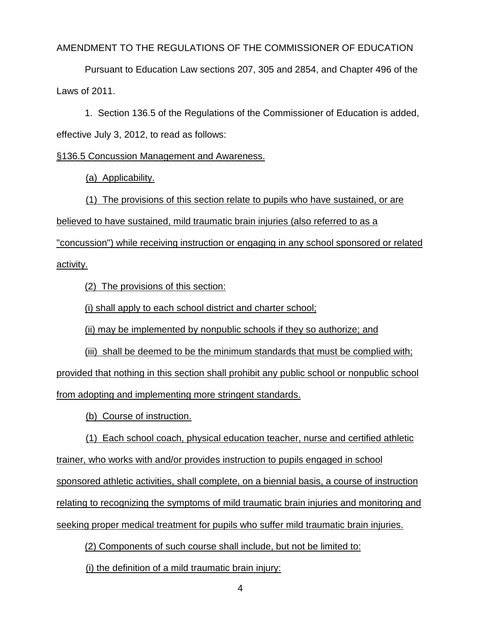AMENDMENT TO THE REGULATIONS OF THE COMMISSIONER OF EDUCATION

Pursuant to Education Law sections 207, 305 and 2854, and Chapter 496 of the Laws of 2011.

1. Section 136.5 of the Regulations of the Commissioner of Education is added, effective July 3, 2012, to read as follows:

§136.5 Concussion Management and Awareness.

(a) Applicability.

(1) The provisions of this section relate to pupils who have sustained, or are believed to have sustained, mild traumatic brain injuries (also referred to as a "concussion") while receiving instruction or engaging in any school sponsored or related activity.

(2) The provisions of this section:

(i) shall apply to each school district and charter school;

(ii) may be implemented by nonpublic schools if they so authorize; and

(iii) shall be deemed to be the minimum standards that must be complied with; provided that nothing in this section shall prohibit any public school or nonpublic school from adopting and implementing more stringent standards.

(b) Course of instruction.

(1) Each school coach, physical education teacher, nurse and certified athletic trainer, who works with and/or provides instruction to pupils engaged in school sponsored athletic activities, shall complete, on a biennial basis, a course of instruction relating to recognizing the symptoms of mild traumatic brain injuries and monitoring and seeking proper medical treatment for pupils who suffer mild traumatic brain injuries.

(2) Components of such course shall include, but not be limited to:

(i) the definition of a mild traumatic brain injury: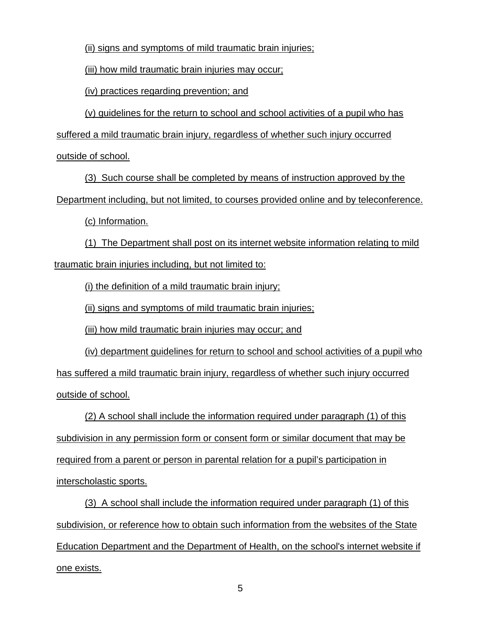(ii) signs and symptoms of mild traumatic brain injuries;

(iii) how mild traumatic brain injuries may occur;

(iv) practices regarding prevention; and

(v) guidelines for the return to school and school activities of a pupil who has

suffered a mild traumatic brain injury, regardless of whether such injury occurred

outside of school.

(3) Such course shall be completed by means of instruction approved by the Department including, but not limited, to courses provided online and by teleconference.

(c) Information.

(1) The Department shall post on its internet website information relating to mild traumatic brain injuries including, but not limited to:

(i) the definition of a mild traumatic brain injury;

(ii) signs and symptoms of mild traumatic brain injuries;

(iii) how mild traumatic brain injuries may occur; and

(iv) department guidelines for return to school and school activities of a pupil who has suffered a mild traumatic brain injury, regardless of whether such injury occurred outside of school.

(2) A school shall include the information required under paragraph (1) of this subdivision in any permission form or consent form or similar document that may be required from a parent or person in parental relation for a pupil's participation in interscholastic sports.

(3) A school shall include the information required under paragraph (1) of this subdivision, or reference how to obtain such information from the websites of the State Education Department and the Department of Health, on the school's internet website if one exists.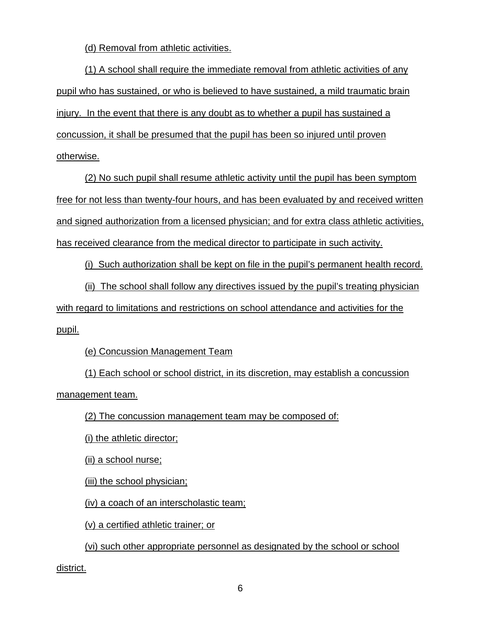(d) Removal from athletic activities.

(1) A school shall require the immediate removal from athletic activities of any pupil who has sustained, or who is believed to have sustained, a mild traumatic brain injury. In the event that there is any doubt as to whether a pupil has sustained a concussion, it shall be presumed that the pupil has been so injured until proven otherwise.

(2) No such pupil shall resume athletic activity until the pupil has been symptom free for not less than twenty-four hours, and has been evaluated by and received written and signed authorization from a licensed physician; and for extra class athletic activities, has received clearance from the medical director to participate in such activity.

(i) Such authorization shall be kept on file in the pupil's permanent health record.

(ii) The school shall follow any directives issued by the pupil's treating physician with regard to limitations and restrictions on school attendance and activities for the pupil.

(e) Concussion Management Team

(1) Each school or school district, in its discretion, may establish a concussion management team.

(2) The concussion management team may be composed of:

(i) the athletic director;

(ii) a school nurse;

(iii) the school physician;

(iv) a coach of an interscholastic team;

(v) a certified athletic trainer; or

(vi) such other appropriate personnel as designated by the school or school

district.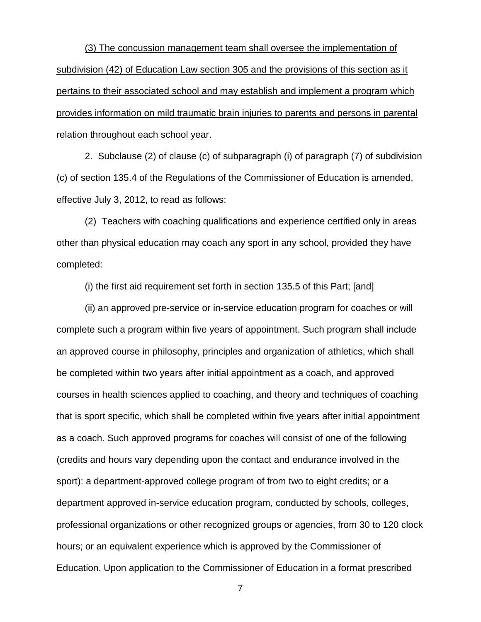(3) The concussion management team shall oversee the implementation of subdivision (42) of Education Law section 305 and the provisions of this section as it pertains to their associated school and may establish and implement a program which provides information on mild traumatic brain injuries to parents and persons in parental relation throughout each school year.

2. Subclause (2) of clause (c) of subparagraph (i) of paragraph (7) of subdivision (c) of section 135.4 of the Regulations of the Commissioner of Education is amended, effective July 3, 2012, to read as follows:

(2) Teachers with coaching qualifications and experience certified only in areas other than physical education may coach any sport in any school, provided they have completed:

(i) the first aid requirement set forth in section 135.5 of this Part; [and]

(ii) an approved pre-service or in-service education program for coaches or will complete such a program within five years of appointment. Such program shall include an approved course in philosophy, principles and organization of athletics, which shall be completed within two years after initial appointment as a coach, and approved courses in health sciences applied to coaching, and theory and techniques of coaching that is sport specific, which shall be completed within five years after initial appointment as a coach. Such approved programs for coaches will consist of one of the following (credits and hours vary depending upon the contact and endurance involved in the sport): a department-approved college program of from two to eight credits; or a department approved in-service education program, conducted by schools, colleges, professional organizations or other recognized groups or agencies, from 30 to 120 clock hours; or an equivalent experience which is approved by the Commissioner of Education. Upon application to the Commissioner of Education in a format prescribed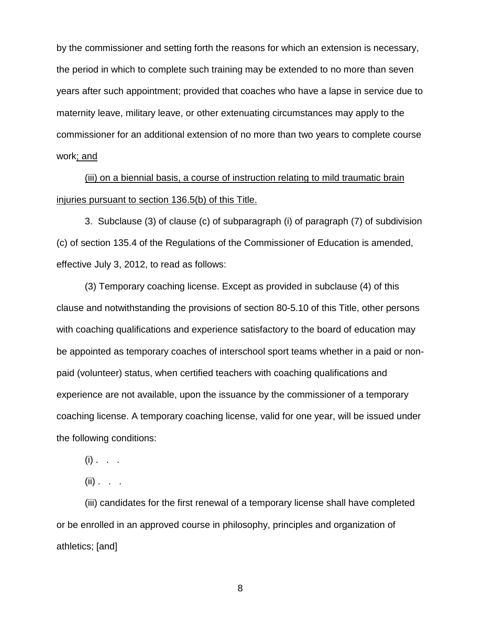by the commissioner and setting forth the reasons for which an extension is necessary, the period in which to complete such training may be extended to no more than seven years after such appointment; provided that coaches who have a lapse in service due to maternity leave, military leave, or other extenuating circumstances may apply to the commissioner for an additional extension of no more than two years to complete course work; and

(iii) on a biennial basis, a course of instruction relating to mild traumatic brain injuries pursuant to section 136.5(b) of this Title.

3. Subclause (3) of clause (c) of subparagraph (i) of paragraph (7) of subdivision (c) of section 135.4 of the Regulations of the Commissioner of Education is amended, effective July 3, 2012, to read as follows:

(3) Temporary coaching license. Except as provided in subclause (4) of this clause and notwithstanding the provisions of section 80-5.10 of this Title, other persons with coaching qualifications and experience satisfactory to the board of education may be appointed as temporary coaches of interschool sport teams whether in a paid or nonpaid (volunteer) status, when certified teachers with coaching qualifications and experience are not available, upon the issuance by the commissioner of a temporary coaching license. A temporary coaching license, valid for one year, will be issued under the following conditions:

 $(i)$  . . .

 $(ii)$  . . .

(iii) candidates for the first renewal of a temporary license shall have completed or be enrolled in an approved course in philosophy, principles and organization of athletics; [and]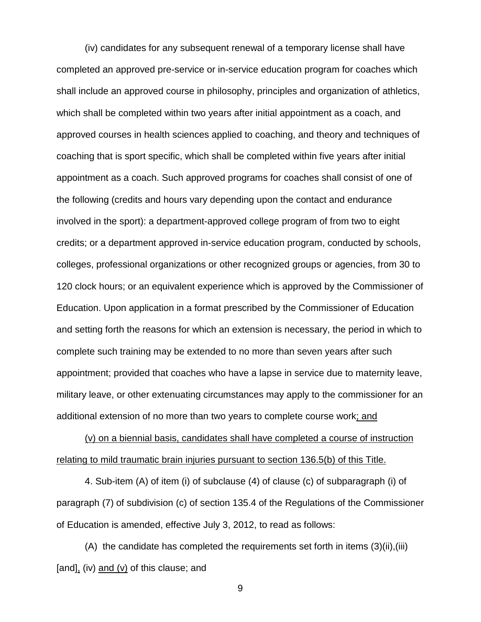(iv) candidates for any subsequent renewal of a temporary license shall have completed an approved pre-service or in-service education program for coaches which shall include an approved course in philosophy, principles and organization of athletics, which shall be completed within two years after initial appointment as a coach, and approved courses in health sciences applied to coaching, and theory and techniques of coaching that is sport specific, which shall be completed within five years after initial appointment as a coach. Such approved programs for coaches shall consist of one of the following (credits and hours vary depending upon the contact and endurance involved in the sport): a department-approved college program of from two to eight credits; or a department approved in-service education program, conducted by schools, colleges, professional organizations or other recognized groups or agencies, from 30 to 120 clock hours; or an equivalent experience which is approved by the Commissioner of Education. Upon application in a format prescribed by the Commissioner of Education and setting forth the reasons for which an extension is necessary, the period in which to complete such training may be extended to no more than seven years after such appointment; provided that coaches who have a lapse in service due to maternity leave, military leave, or other extenuating circumstances may apply to the commissioner for an additional extension of no more than two years to complete course work; and

(v) on a biennial basis, candidates shall have completed a course of instruction relating to mild traumatic brain injuries pursuant to section 136.5(b) of this Title.

4. Sub-item (A) of item (i) of subclause (4) of clause (c) of subparagraph (i) of paragraph (7) of subdivision (c) of section 135.4 of the Regulations of the Commissioner of Education is amended, effective July 3, 2012, to read as follows:

(A) the candidate has completed the requirements set forth in items (3)(ii),(iii) [and], (iv) and (v) of this clause; and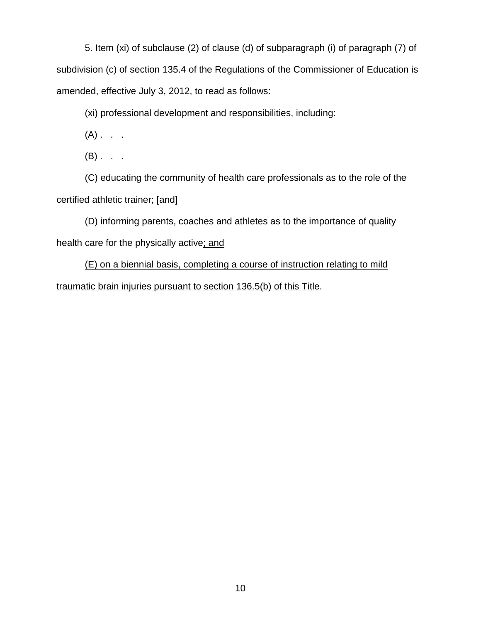5. Item (xi) of subclause (2) of clause (d) of subparagraph (i) of paragraph (7) of subdivision (c) of section 135.4 of the Regulations of the Commissioner of Education is amended, effective July 3, 2012, to read as follows:

(xi) professional development and responsibilities, including:

 $(A)$  . . .

 $(B)$ . . .

(C) educating the community of health care professionals as to the role of the certified athletic trainer; [and]

(D) informing parents, coaches and athletes as to the importance of quality health care for the physically active; and

(E) on a biennial basis, completing a course of instruction relating to mild traumatic brain injuries pursuant to section 136.5(b) of this Title.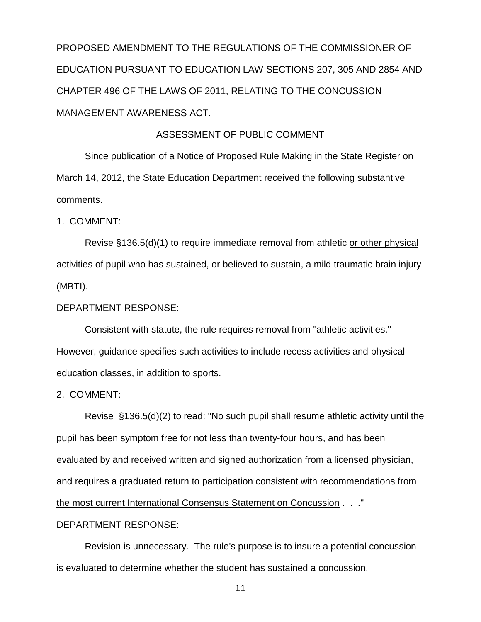PROPOSED AMENDMENT TO THE REGULATIONS OF THE COMMISSIONER OF EDUCATION PURSUANT TO EDUCATION LAW SECTIONS 207, 305 AND 2854 AND CHAPTER 496 OF THE LAWS OF 2011, RELATING TO THE CONCUSSION MANAGEMENT AWARENESS ACT.

## ASSESSMENT OF PUBLIC COMMENT

Since publication of a Notice of Proposed Rule Making in the State Register on March 14, 2012, the State Education Department received the following substantive comments.

1. COMMENT:

Revise §136.5(d)(1) to require immediate removal from athletic or other physical activities of pupil who has sustained, or believed to sustain, a mild traumatic brain injury (MBTI).

## DEPARTMENT RESPONSE:

Consistent with statute, the rule requires removal from "athletic activities." However, guidance specifies such activities to include recess activities and physical education classes, in addition to sports.

2. COMMENT:

Revise §136.5(d)(2) to read: "No such pupil shall resume athletic activity until the pupil has been symptom free for not less than twenty-four hours, and has been evaluated by and received written and signed authorization from a licensed physician, and requires a graduated return to participation consistent with recommendations from the most current International Consensus Statement on Concussion . . ." DEPARTMENT RESPONSE:

Revision is unnecessary. The rule's purpose is to insure a potential concussion is evaluated to determine whether the student has sustained a concussion.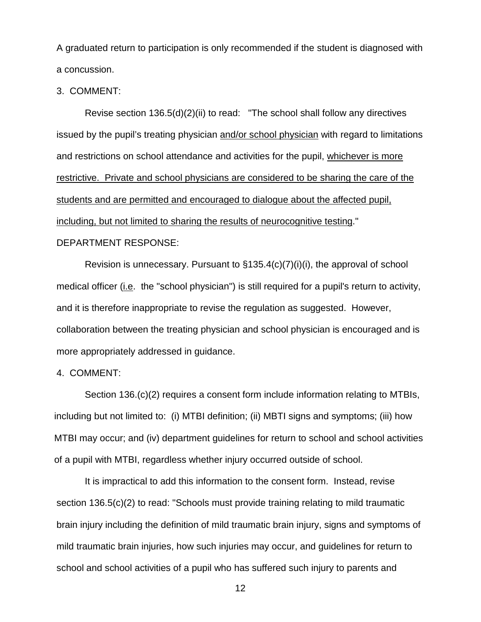A graduated return to participation is only recommended if the student is diagnosed with a concussion.

3. COMMENT:

Revise section 136.5(d)(2)(ii) to read: "The school shall follow any directives issued by the pupil's treating physician and/or school physician with regard to limitations and restrictions on school attendance and activities for the pupil, whichever is more restrictive. Private and school physicians are considered to be sharing the care of the students and are permitted and encouraged to dialogue about the affected pupil, including, but not limited to sharing the results of neurocognitive testing." DEPARTMENT RESPONSE:

Revision is unnecessary. Pursuant to §135.4(c)(7)(i)(i), the approval of school medical officer (i.e. the "school physician") is still required for a pupil's return to activity, and it is therefore inappropriate to revise the regulation as suggested. However, collaboration between the treating physician and school physician is encouraged and is more appropriately addressed in guidance.

4. COMMENT:

Section 136.(c)(2) requires a consent form include information relating to MTBIs, including but not limited to: (i) MTBI definition; (ii) MBTI signs and symptoms; (iii) how MTBI may occur; and (iv) department guidelines for return to school and school activities of a pupil with MTBI, regardless whether injury occurred outside of school.

It is impractical to add this information to the consent form. Instead, revise section 136.5(c)(2) to read: "Schools must provide training relating to mild traumatic brain injury including the definition of mild traumatic brain injury, signs and symptoms of mild traumatic brain injuries, how such injuries may occur, and guidelines for return to school and school activities of a pupil who has suffered such injury to parents and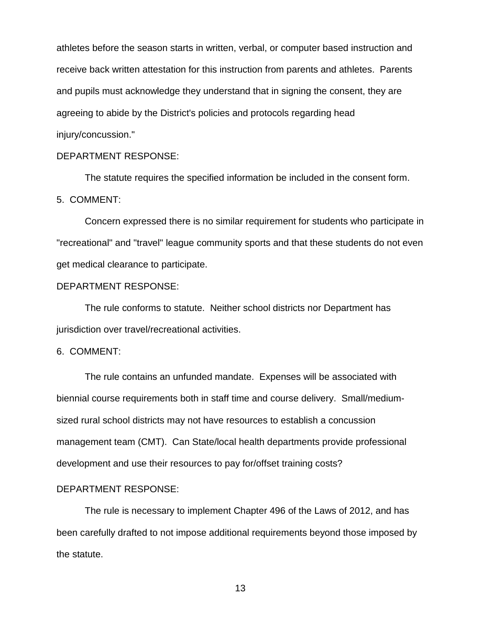athletes before the season starts in written, verbal, or computer based instruction and receive back written attestation for this instruction from parents and athletes. Parents and pupils must acknowledge they understand that in signing the consent, they are agreeing to abide by the District's policies and protocols regarding head injury/concussion."

## DEPARTMENT RESPONSE:

The statute requires the specified information be included in the consent form. 5. COMMENT:

Concern expressed there is no similar requirement for students who participate in "recreational" and "travel" league community sports and that these students do not even get medical clearance to participate.

## DEPARTMENT RESPONSE:

The rule conforms to statute. Neither school districts nor Department has jurisdiction over travel/recreational activities.

## 6. COMMENT:

The rule contains an unfunded mandate. Expenses will be associated with biennial course requirements both in staff time and course delivery. Small/mediumsized rural school districts may not have resources to establish a concussion management team (CMT). Can State/local health departments provide professional development and use their resources to pay for/offset training costs?

## DEPARTMENT RESPONSE:

The rule is necessary to implement Chapter 496 of the Laws of 2012, and has been carefully drafted to not impose additional requirements beyond those imposed by the statute.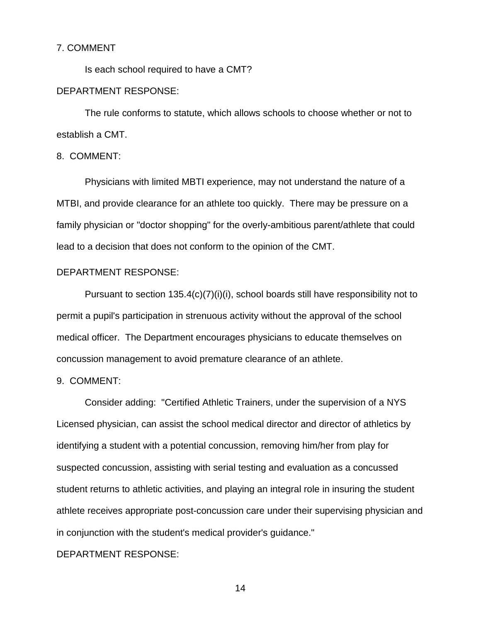## 7. COMMENT

Is each school required to have a CMT?

## DEPARTMENT RESPONSE:

The rule conforms to statute, which allows schools to choose whether or not to establish a CMT.

## 8. COMMENT:

Physicians with limited MBTI experience, may not understand the nature of a MTBI, and provide clearance for an athlete too quickly. There may be pressure on a family physician or "doctor shopping" for the overly-ambitious parent/athlete that could lead to a decision that does not conform to the opinion of the CMT.

## DEPARTMENT RESPONSE:

Pursuant to section  $135.4(c)(7)(i)(i)$ , school boards still have responsibility not to permit a pupil's participation in strenuous activity without the approval of the school medical officer. The Department encourages physicians to educate themselves on concussion management to avoid premature clearance of an athlete.

### 9. COMMENT:

Consider adding: "Certified Athletic Trainers, under the supervision of a NYS Licensed physician, can assist the school medical director and director of athletics by identifying a student with a potential concussion, removing him/her from play for suspected concussion, assisting with serial testing and evaluation as a concussed student returns to athletic activities, and playing an integral role in insuring the student athlete receives appropriate post-concussion care under their supervising physician and in conjunction with the student's medical provider's guidance."

## DEPARTMENT RESPONSE: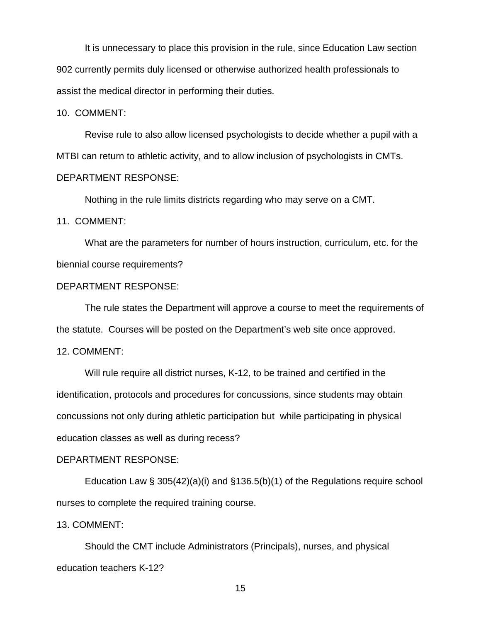It is unnecessary to place this provision in the rule, since Education Law section 902 currently permits duly licensed or otherwise authorized health professionals to assist the medical director in performing their duties.

#### 10. COMMENT:

Revise rule to also allow licensed psychologists to decide whether a pupil with a MTBI can return to athletic activity, and to allow inclusion of psychologists in CMTs. DEPARTMENT RESPONSE:

Nothing in the rule limits districts regarding who may serve on a CMT.

11. COMMENT:

What are the parameters for number of hours instruction, curriculum, etc. for the biennial course requirements?

## DEPARTMENT RESPONSE:

The rule states the Department will approve a course to meet the requirements of the statute. Courses will be posted on the Department's web site once approved.

## 12. COMMENT:

Will rule require all district nurses, K-12, to be trained and certified in the identification, protocols and procedures for concussions, since students may obtain concussions not only during athletic participation but while participating in physical education classes as well as during recess?

## DEPARTMENT RESPONSE:

Education Law § 305(42)(a)(i) and §136.5(b)(1) of the Regulations require school nurses to complete the required training course.

#### 13. COMMENT:

Should the CMT include Administrators (Principals), nurses, and physical education teachers K-12?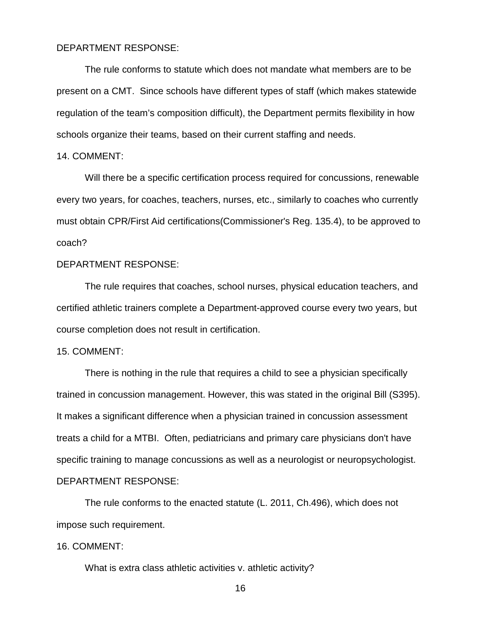#### DEPARTMENT RESPONSE:

The rule conforms to statute which does not mandate what members are to be present on a CMT. Since schools have different types of staff (which makes statewide regulation of the team's composition difficult), the Department permits flexibility in how schools organize their teams, based on their current staffing and needs.

## 14. COMMENT:

Will there be a specific certification process required for concussions, renewable every two years, for coaches, teachers, nurses, etc., similarly to coaches who currently must obtain CPR/First Aid certifications(Commissioner's Reg. 135.4), to be approved to coach?

## DEPARTMENT RESPONSE:

The rule requires that coaches, school nurses, physical education teachers, and certified athletic trainers complete a Department-approved course every two years, but course completion does not result in certification.

## 15. COMMENT:

There is nothing in the rule that requires a child to see a physician specifically trained in concussion management. However, this was stated in the original Bill (S395). It makes a significant difference when a physician trained in concussion assessment treats a child for a MTBI. Often, pediatricians and primary care physicians don't have specific training to manage concussions as well as a neurologist or neuropsychologist. DEPARTMENT RESPONSE:

The rule conforms to the enacted statute (L. 2011, Ch.496), which does not impose such requirement.

#### 16. COMMENT:

What is extra class athletic activities v. athletic activity?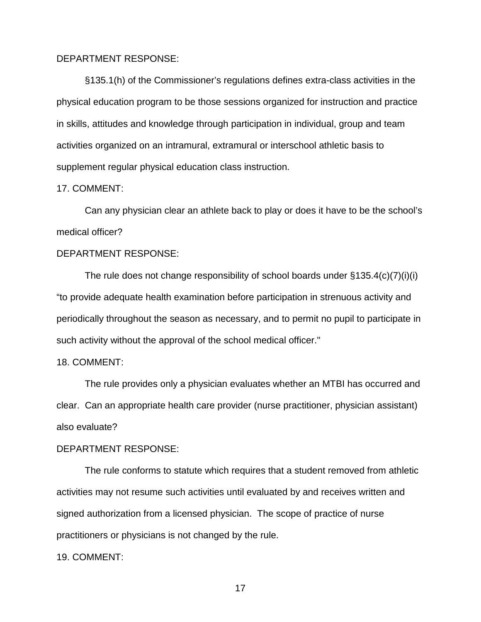#### DEPARTMENT RESPONSE:

§135.1(h) of the Commissioner's regulations defines extra-class activities in the physical education program to be those sessions organized for instruction and practice in skills, attitudes and knowledge through participation in individual, group and team activities organized on an intramural, extramural or interschool athletic basis to supplement regular physical education class instruction.

#### 17. COMMENT:

Can any physician clear an athlete back to play or does it have to be the school's medical officer?

#### DEPARTMENT RESPONSE:

The rule does not change responsibility of school boards under §135.4(c)(7)(i)(i) "to provide adequate health examination before participation in strenuous activity and periodically throughout the season as necessary, and to permit no pupil to participate in such activity without the approval of the school medical officer."

#### 18. COMMENT:

The rule provides only a physician evaluates whether an MTBI has occurred and clear. Can an appropriate health care provider (nurse practitioner, physician assistant) also evaluate?

## DEPARTMENT RESPONSE:

The rule conforms to statute which requires that a student removed from athletic activities may not resume such activities until evaluated by and receives written and signed authorization from a licensed physician. The scope of practice of nurse practitioners or physicians is not changed by the rule.

## 19. COMMENT: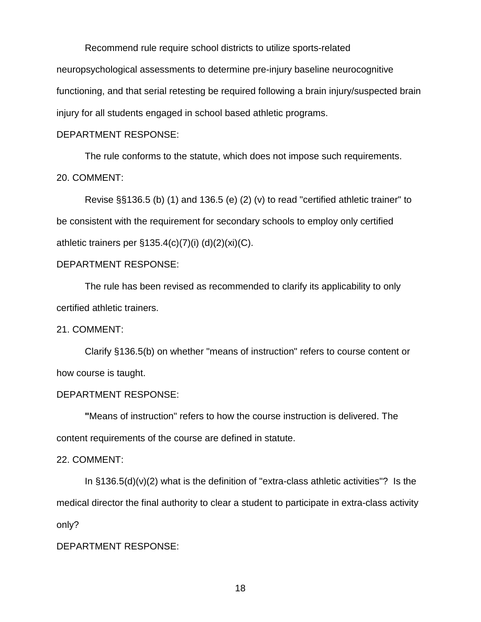Recommend rule require school districts to utilize sports-related neuropsychological assessments to determine pre-injury baseline neurocognitive functioning, and that serial retesting be required following a brain injury/suspected brain injury for all students engaged in school based athletic programs.

## DEPARTMENT RESPONSE:

The rule conforms to the statute, which does not impose such requirements. 20. COMMENT:

Revise §§136.5 (b) (1) and 136.5 (e) (2) (v) to read "certified athletic trainer" to be consistent with the requirement for secondary schools to employ only certified athletic trainers per §135.4(c)(7)(i) (d)(2)(xi)(C).

## DEPARTMENT RESPONSE:

The rule has been revised as recommended to clarify its applicability to only certified athletic trainers.

## 21. COMMENT:

Clarify §136.5(b) on whether "means of instruction" refers to course content or how course is taught.

#### DEPARTMENT RESPONSE:

**"**Means of instruction" refers to how the course instruction is delivered. The content requirements of the course are defined in statute.

## 22. COMMENT:

In  $\S$ 136.5(d)(v)(2) what is the definition of "extra-class athletic activities"? Is the medical director the final authority to clear a student to participate in extra-class activity only?

## DEPARTMENT RESPONSE: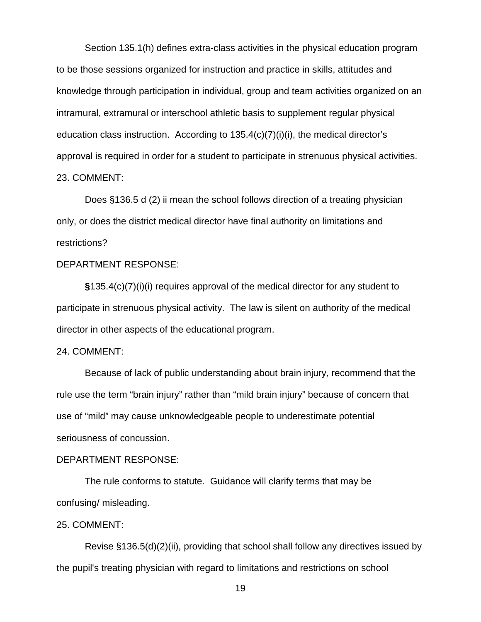Section 135.1(h) defines extra-class activities in the physical education program to be those sessions organized for instruction and practice in skills, attitudes and knowledge through participation in individual, group and team activities organized on an intramural, extramural or interschool athletic basis to supplement regular physical education class instruction. According to  $135.4(c)(7)(i)(i)$ , the medical director's approval is required in order for a student to participate in strenuous physical activities. 23. COMMENT:

Does §136.5 d (2) ii mean the school follows direction of a treating physician only, or does the district medical director have final authority on limitations and restrictions?

## DEPARTMENT RESPONSE:

**§**135.4(c)(7)(i)(i) requires approval of the medical director for any student to participate in strenuous physical activity. The law is silent on authority of the medical director in other aspects of the educational program.

## 24. COMMENT:

Because of lack of public understanding about brain injury, recommend that the rule use the term "brain injury" rather than "mild brain injury" because of concern that use of "mild" may cause unknowledgeable people to underestimate potential seriousness of concussion.

## DEPARTMENT RESPONSE:

The rule conforms to statute. Guidance will clarify terms that may be confusing/ misleading.

### 25. COMMENT:

Revise §136.5(d)(2)(ii), providing that school shall follow any directives issued by the pupil's treating physician with regard to limitations and restrictions on school